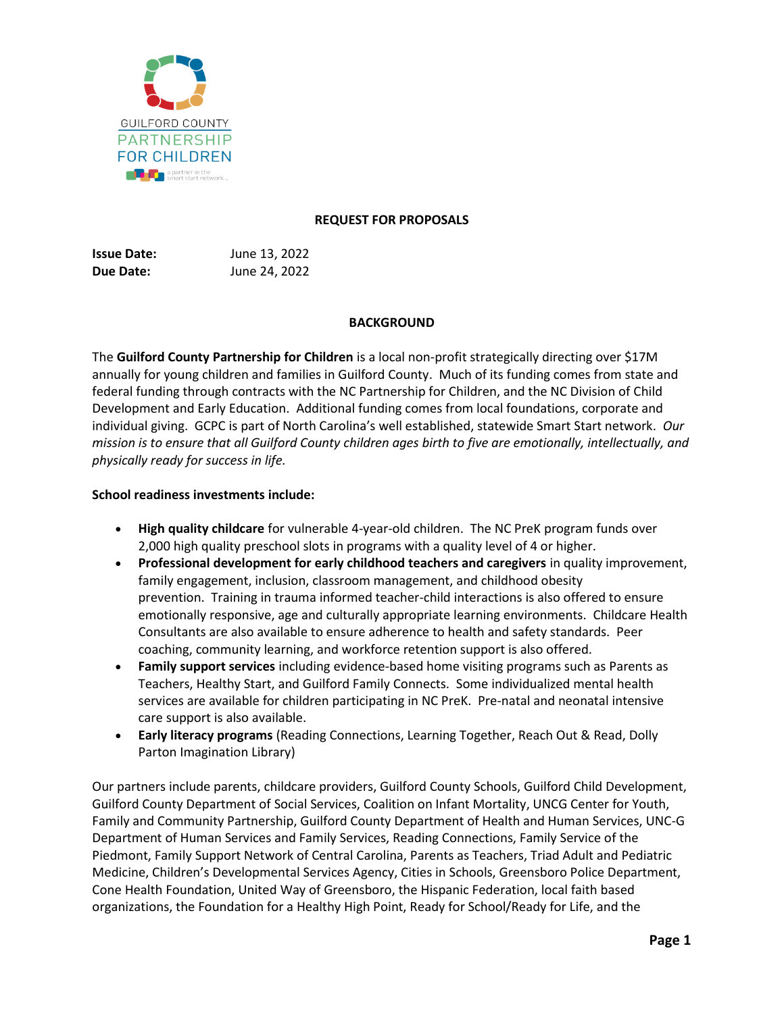

#### **REQUEST FOR PROPOSALS**

**Issue Date:** June 13, 2022 **Due Date:** June 24, 2022

# **BACKGROUND**

The **Guilford County Partnership for Children** is a local non-profit strategically directing over \$17M annually for young children and families in Guilford County. Much of its funding comes from state and federal funding through contracts with the NC Partnership for Children, and the NC Division of Child Development and Early Education. Additional funding comes from local foundations, corporate and individual giving. GCPC is part of North Carolina's well established, statewide Smart Start network. *Our mission is to ensure that all Guilford County children ages birth to five are emotionally, intellectually, and physically ready for success in life.*

### **School readiness investments include:**

- **High quality childcare** for vulnerable 4-year-old children. The NC PreK program funds over 2,000 high quality preschool slots in programs with a quality level of 4 or higher.
- **Professional development for early childhood teachers and caregivers** in quality improvement, family engagement, inclusion, classroom management, and childhood obesity prevention. Training in trauma informed teacher-child interactions is also offered to ensure emotionally responsive, age and culturally appropriate learning environments. Childcare Health Consultants are also available to ensure adherence to health and safety standards. Peer coaching, community learning, and workforce retention support is also offered.
- **Family support services** including evidence-based home visiting programs such as Parents as Teachers, Healthy Start, and Guilford Family Connects. Some individualized mental health services are available for children participating in NC PreK. Pre-natal and neonatal intensive care support is also available.
- **Early literacy programs** (Reading Connections, Learning Together, Reach Out & Read, Dolly Parton Imagination Library)

Our partners include parents, childcare providers, Guilford County Schools, Guilford Child Development, Guilford County Department of Social Services, Coalition on Infant Mortality, UNCG Center for Youth, Family and Community Partnership, Guilford County Department of Health and Human Services, UNC-G Department of Human Services and Family Services, Reading Connections, Family Service of the Piedmont, Family Support Network of Central Carolina, Parents as Teachers, Triad Adult and Pediatric Medicine, Children's Developmental Services Agency, Cities in Schools, Greensboro Police Department, Cone Health Foundation, United Way of Greensboro, the Hispanic Federation, local faith based organizations, the Foundation for a Healthy High Point, Ready for School/Ready for Life, and the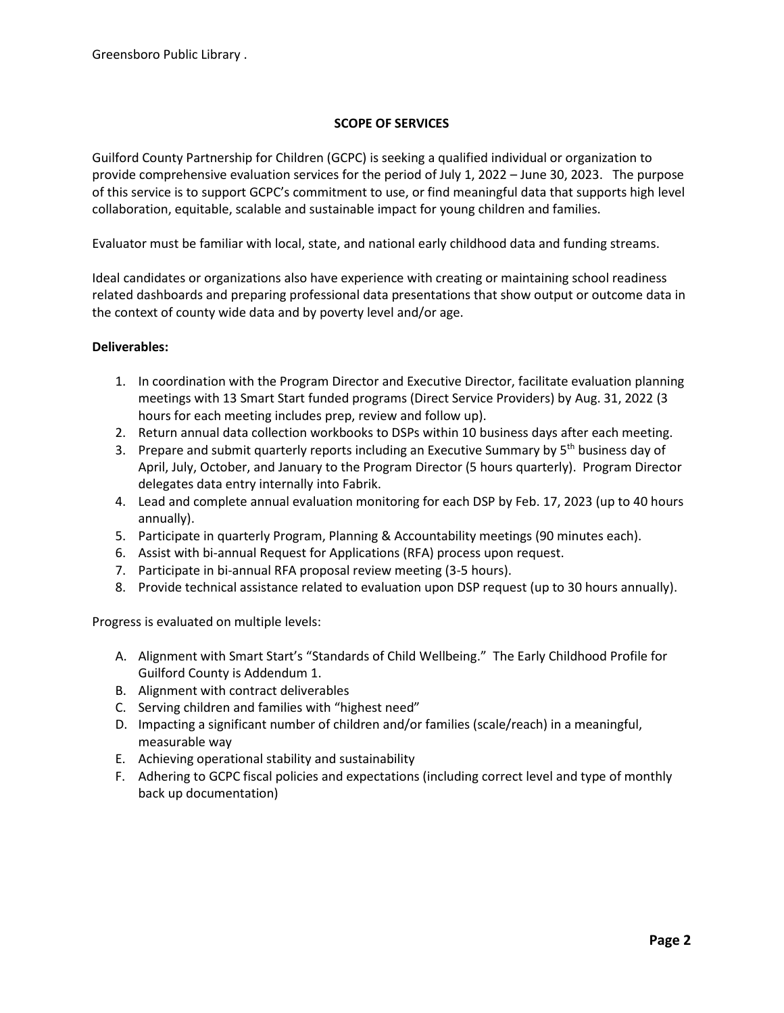## **SCOPE OF SERVICES**

Guilford County Partnership for Children (GCPC) is seeking a qualified individual or organization to provide comprehensive evaluation services for the period of July 1, 2022 – June 30, 2023. The purpose of this service is to support GCPC's commitment to use, or find meaningful data that supports high level collaboration, equitable, scalable and sustainable impact for young children and families.

Evaluator must be familiar with local, state, and national early childhood data and funding streams.

Ideal candidates or organizations also have experience with creating or maintaining school readiness related dashboards and preparing professional data presentations that show output or outcome data in the context of county wide data and by poverty level and/or age.

### **Deliverables:**

- 1. In coordination with the Program Director and Executive Director, facilitate evaluation planning meetings with 13 Smart Start funded programs (Direct Service Providers) by Aug. 31, 2022 (3 hours for each meeting includes prep, review and follow up).
- 2. Return annual data collection workbooks to DSPs within 10 business days after each meeting.
- 3. Prepare and submit quarterly reports including an Executive Summary by 5<sup>th</sup> business day of April, July, October, and January to the Program Director (5 hours quarterly). Program Director delegates data entry internally into Fabrik.
- 4. Lead and complete annual evaluation monitoring for each DSP by Feb. 17, 2023 (up to 40 hours annually).
- 5. Participate in quarterly Program, Planning & Accountability meetings (90 minutes each).
- 6. Assist with bi-annual Request for Applications (RFA) process upon request.
- 7. Participate in bi-annual RFA proposal review meeting (3-5 hours).
- 8. Provide technical assistance related to evaluation upon DSP request (up to 30 hours annually).

Progress is evaluated on multiple levels:

- A. Alignment with Smart Start's "Standards of Child Wellbeing." The Early Childhood Profile for Guilford County is Addendum 1.
- B. Alignment with contract deliverables
- C. Serving children and families with "highest need"
- D. Impacting a significant number of children and/or families (scale/reach) in a meaningful, measurable way
- E. Achieving operational stability and sustainability
- F. Adhering to GCPC fiscal policies and expectations (including correct level and type of monthly back up documentation)